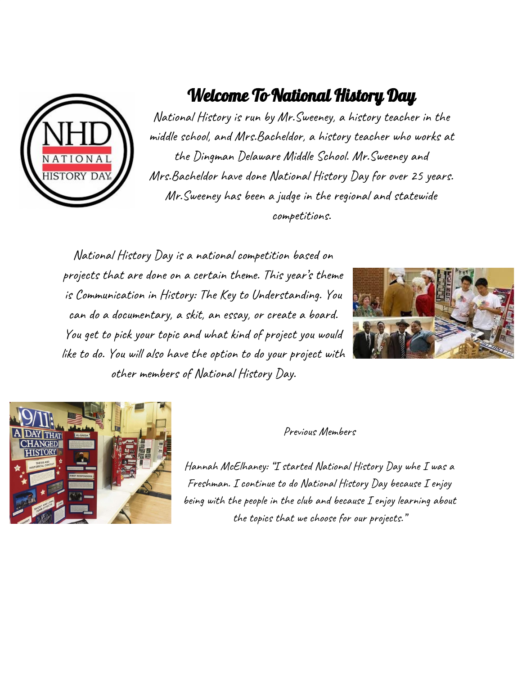

## Welcome To National History Day

National History is run by Mr.Sweeney, a history teacher in the middle school, and Mrs.Bacheldor, a history teacher who works at the Dingman Delaware Middle School. Mr.Sweeney and Mrs.Bacheldor have done National History Day for over 25 years. Mr.Sweeney has been a judge in the regional and statewide competitions.

National History Day is a national competition based on projects that are done on a certain theme. This year's theme is Communication in History: The Key to Understanding. You can do a documentary, a skit, an essay, or create a board. You get to pick your topic and what kind of project you would like to do. You will also have the option to do your project with other members of National History Day.





Previous Members

Hannah McElhaney: "I started National History Day whe I was a Freshman. I continue to do National History Day because I enjoy being with the people in the club and because I enjoy learning about the topics that we choose for our projects."